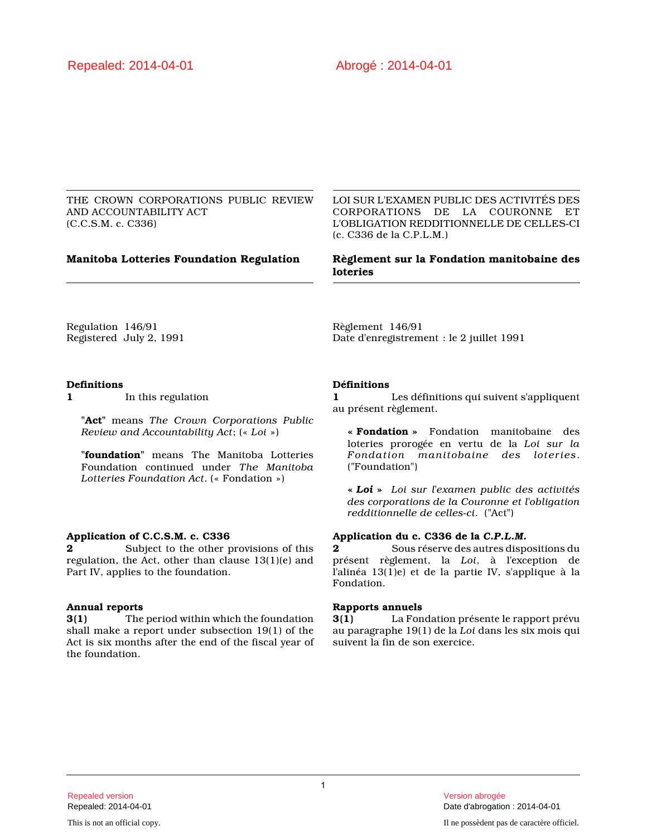THE CROWN CORPORATIONS PUBLIC REVIEW AND ACCOUNTABILITY ACT (C.C.S.M. c. C336)

LOI SUR L'EXAMEN PUBLIC DES ACTIVITÉS DES CORPORATIONS DE LA COURONNE ET L'OBLIGATION REDDITIONNELLE DE CELLES-CI (c. C336 de la C.P.L.M.)

# **Manitoba Lotteries Foundation Regulation Règlement sur la Fondation manitobaine des loteries**

Regulation 146/91 Registered July 2, 1991 Règlement 146/91 Date d'enregistrement : le 2 juillet 1991

# **Definitions**

**1** In this regulation

**"Act"** means *The Crown Corporations Public Review and Accountability Act*; (« *Loi* »)

**"foundation"** means The Manitoba Lotteries Foundation continued under *The Manitoba Lotteries Foundation Act*. (« Fondation »)

# **Application of C.C.S.M. c. C336**

**2** Subject to the other provisions of this regulation, the Act, other than clause 13(1)(e) and Part IV, applies to the foundation.

#### **Annual reports**

**3(1)** The period within which the foundation shall make a report under subsection 19(1) of the Act is six months after the end of the fiscal year of the foundation.

# **Définitions**

**1** Les définitions qui suivent s'appliquent au présent règlement.

**« Fondation »** Fondation manitobaine des loteries prorogée en vertu de la *Loi sur la Fondation manitobaine des loteries*. ("Foundation")

**«** *Loi* **»** *Loi sur l'examen public des activités des corporations de la Couronne et l'obligation redditionnelle de celles-ci*. ("Act")

# **Application du c. C336 de la** *C.P.L.M.*

**2** Sous réserve des autres dispositions du présent règlement, la *Loi*, à l'exception de l'alinéa 13(1)e) et de la partie IV, s'applique à la Fondation.

#### **Rapports annuels**

**3(1)** La Fondation présente le rapport prévu au paragraphe 19(1) de la *Loi* dans les six mois qui suivent la fin de son exercice.